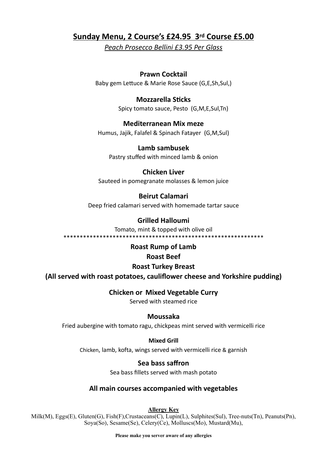# **Sunday Menu, 2 Course's £24.95 3rd Course £5.00**

*Peach Prosecco Bellini £3.95 Per Glass*

## **Prawn Cocktail**

Baby gem Lettuce & Marie Rose Sauce (G,E,Sh,Sul,)

## **Mozzarella Sticks**

Spicy tomato sauce, Pesto (G,M,E,Sul,Tn)

#### **Mediterranean Mix meze**

Humus, Jajik, Falafel & Spinach Fatayer (G,M,Sul)

#### **Lamb sambusek** Pastry stuffed with minced lamb & onion

## **Chicken Liver**

Sauteed in pomegranate molasses & lemon juice

## **Beirut Calamari**

Deep fried calamari served with homemade tartar sauce

# **Grilled Halloumi**

Tomato, mint & topped with olive oil

\*\*\*\*\*\*\*\*\*\*\*\*\*\*\*\*\*\*\*\*\*\*\*\*\*\*\*\*\*\*\*\*\*\*\*\*\*\*\*\*\*\*\*\*\*\*\*\*\*\*\*\*\*\*\*\*\*\*\*\*\*

## **Roast Rump of Lamb**

## **Roast Beef**

## **Roast Turkey Breast**

**(All served with roast potatoes, cauliflower cheese and Yorkshire pudding)**

## **Chicken or Mixed Vegetable Curry**

Served with steamed rice

#### **Moussaka**

Fried aubergine with tomato ragu, chickpeas mint served with vermicelli rice

#### **Mixed Grill**

Chicken, lamb, kofta, wings served with vermicelli rice & garnish

# **Sea bass saffron**

Sea bass fillets served with mash potato

# **All main courses accompanied with vegetables**

**Allergy Key**

Milk(M), Eggs(E), Gluten(G), Fish(F),Crustaceans(C), Lupin(L), Sulphites(Sul), Tree-nuts(Tn), Peanuts(Pn), Soya(So), Sesame(Se), Celery(Ce), Molluscs(Mo), Mustard(Mu),

**Please make you server aware of any allergies**